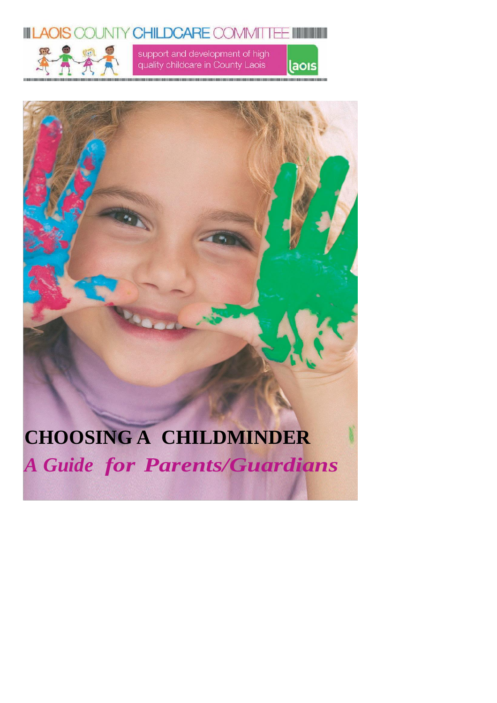



support and development of high quality childcare in County Laois

laois



# **CHOOSING A CHILDMINDER** *A Guide for Parents/Guardians*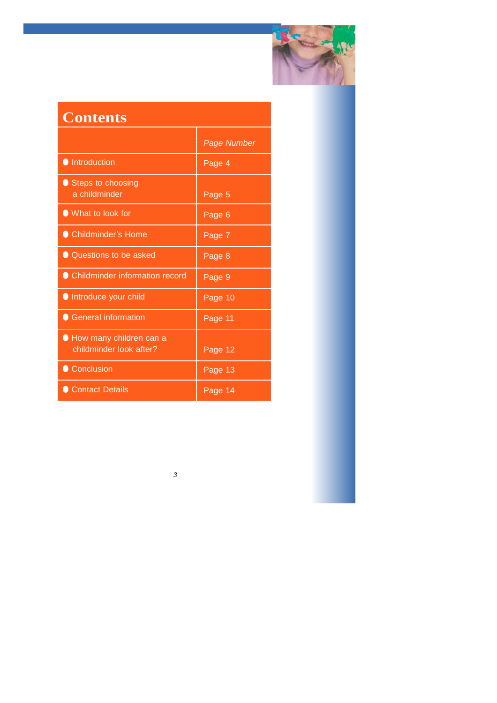

# **Contents**

|                                                    | Page Number |
|----------------------------------------------------|-------------|
| <b>Introduction</b>                                | Page 4      |
| Steps to choosing<br>a childminder                 | Page 5      |
| ● What to look for                                 | Page 6      |
| ● Childminder's Home                               | Page 7      |
| ● Questions to be asked                            | Page 8      |
| ● Childminder information record                   | Page 9      |
| Introduce your child                               | Page 10     |
| <b>General information</b>                         | Page 11     |
| How many children can a<br>childminder look after? | Page 12     |
| Conclusion                                         | Page 13     |
| Contact Details                                    | Page 14     |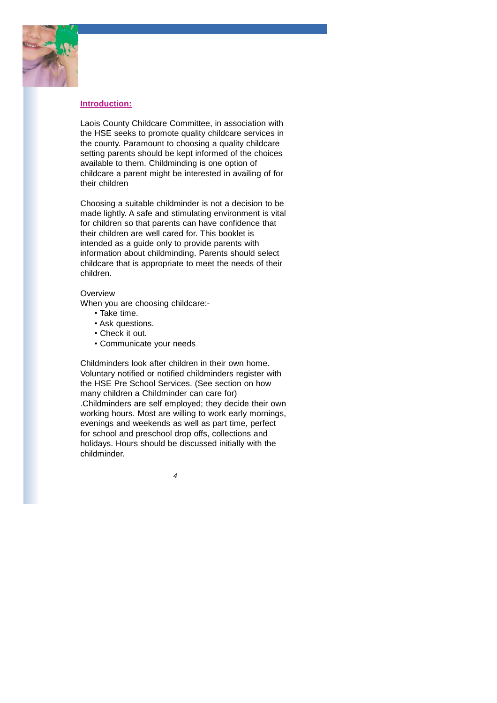

#### **Introduction:**

Laois County Childcare Committee, in association with the HSE seeks to promote quality childcare services in the county. Paramount to choosing a quality childcare setting parents should be kept informed of the choices available to them. Childminding is one option of childcare a parent might be interested in availing of for their children

Choosing a suitable childminder is not a decision to be made lightly. A safe and stimulating environment is vital for children so that parents can have confidence that their children are well cared for. This booklet is intended as a guide only to provide parents with information about childminding. Parents should select childcare that is appropriate to meet the needs of their children.

#### **Overview**

When you are choosing childcare:-

- Take time.
- Ask questions.
- Check it out.
- Communicate your needs

Childminders look after children in their own home. Voluntary notified or notified childminders register with the HSE Pre School Services. (See section on how many children a Childminder can care for) .Childminders are self employed; they decide their own working hours. Most are willing to work early mornings, evenings and weekends as well as part time, perfect for school and preschool drop offs, collections and holidays. Hours should be discussed initially with the childminder.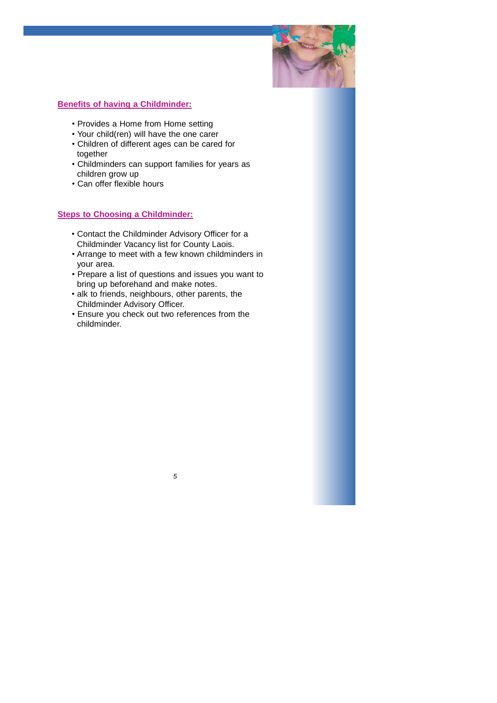

#### **Benefits of having a Childminder:**

- Provides a Home from Home setting
- Your child(ren) will have the one carer
- Children of different ages can be cared for together
- Childminders can support families for years as children grow up
- Can offer flexible hours

### **Steps to Choosing a Childminder:**

- Contact the Childminder Advisory Officer for a Childminder Vacancy list for County Laois.
- Arrange to meet with a few known childminders in your area.
- Prepare a list of questions and issues you want to bring up beforehand and make notes.
- alk to friends, neighbours, other parents, the Childminder Advisory Officer.
- Ensure you check out two references from the childminder.

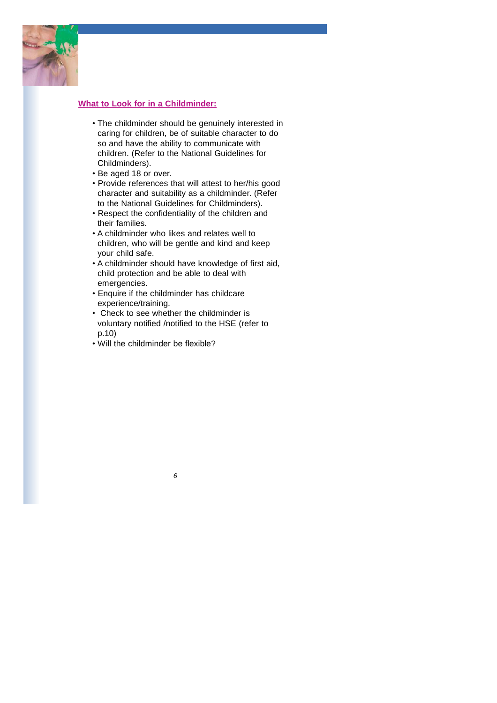

#### **What to Look for in a Childminder:**

- The childminder should be genuinely interested in caring for children, be of suitable character to do so and have the ability to communicate with children. (Refer to the National Guidelines for Childminders).
- Be aged 18 or over.
- Provide references that will attest to her/his good character and suitability as a childminder. (Refer to the National Guidelines for Childminders).
- Respect the confidentiality of the children and their families.
- A childminder who likes and relates well to children, who will be gentle and kind and keep your child safe.
- A childminder should have knowledge of first aid, child protection and be able to deal with emergencies.
- Enquire if the childminder has childcare experience/training.
- Check to see whether the childminder is voluntary notified /notified to the HSE (refer to p.10)

*6*

• Will the childminder be flexible?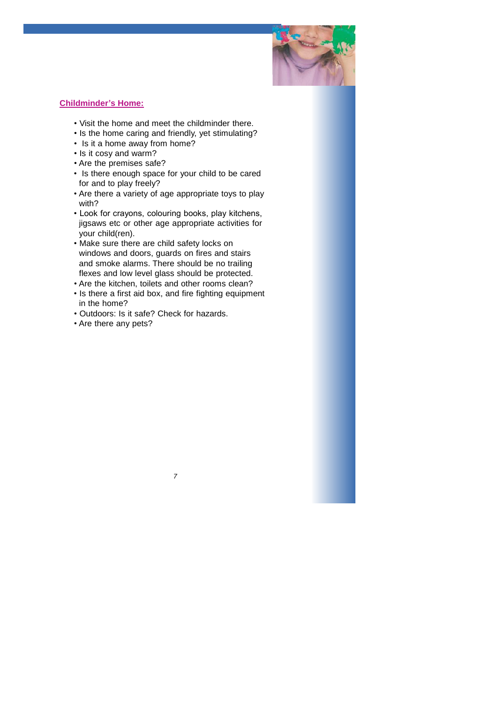

#### **Childminder's Home:**

- Visit the home and meet the childminder there.
- Is the home caring and friendly, yet stimulating?
- Is it a home away from home?
- Is it cosy and warm?
- Are the premises safe?
- Is there enough space for your child to be cared for and to play freely?
- Are there a variety of age appropriate toys to play with?
- Look for crayons, colouring books, play kitchens, jigsaws etc or other age appropriate activities for your child(ren).
- Make sure there are child safety locks on windows and doors, guards on fires and stairs and smoke alarms. There should be no trailing flexes and low level glass should be protected.
- Are the kitchen, toilets and other rooms clean?
- Is there a first aid box, and fire fighting equipment in the home?

- Outdoors: Is it safe? Check for hazards.
- Are there any pets?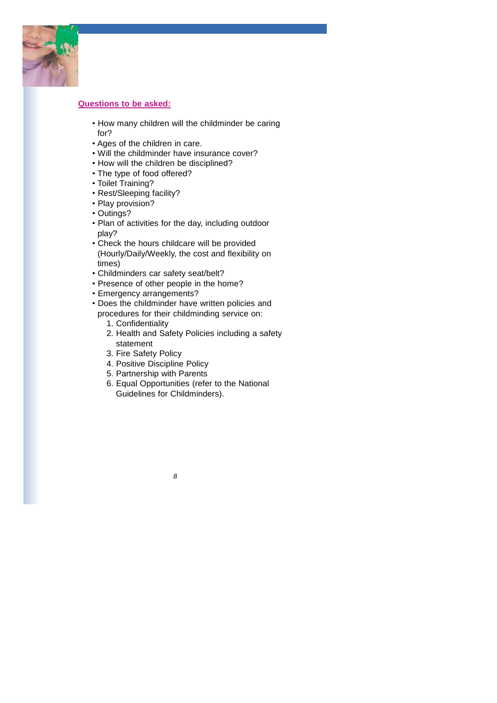

#### **Questions to be asked:**

- How many children will the childminder be caring for?
- Ages of the children in care.
- Will the childminder have insurance cover?
- How will the children be disciplined?
- The type of food offered?
- Toilet Training?
- Rest/Sleeping facility?
- Play provision?
- Outings?
- Plan of activities for the day, including outdoor play?
- Check the hours childcare will be provided (Hourly/Daily/Weekly, the cost and flexibility on times)
- Childminders car safety seat/belt?
- Presence of other people in the home?
- Emergency arrangements?
- Does the childminder have written policies and procedures for their childminding service on:
	- 1. Confidentiality
	- 2. Health and Safety Policies including a safety statement
	- 3. Fire Safety Policy
	- 4. Positive Discipline Policy
	- 5. Partnership with Parents
	- 6. Equal Opportunities (refer to the National Guidelines for Childminders).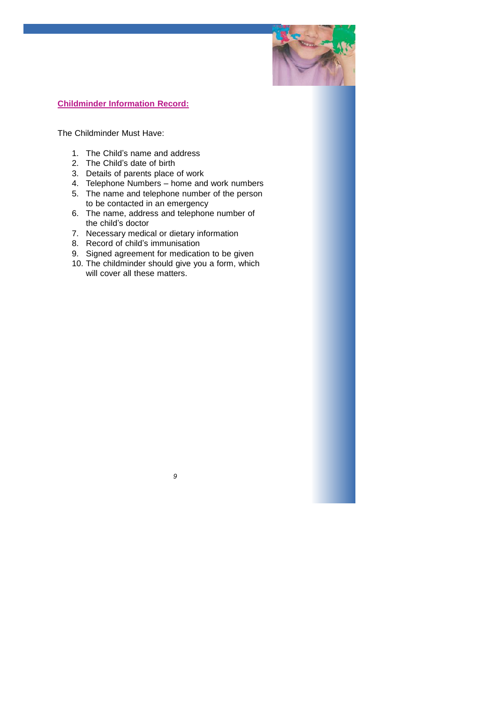

#### **Childminder Information Record:**

The Childminder Must Have:

- 1. The Child's name and address
- 2. The Child's date of birth
- 3. Details of parents place of work
- 4. Telephone Numbers home and work numbers
- 5. The name and telephone number of the person to be contacted in an emergency
- 6. The name, address and telephone number of the child's doctor
- 7. Necessary medical or dietary information
- 8. Record of child's immunisation
- 9. Signed agreement for medication to be given
- 10. The childminder should give you a form, which will cover all these matters.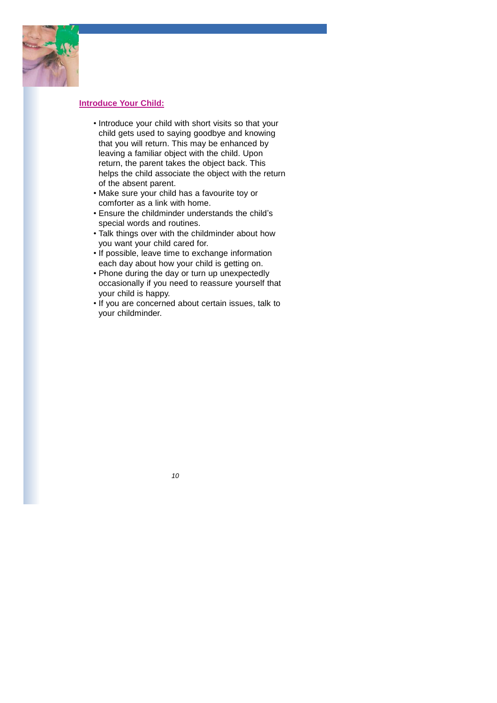

#### **Introduce Your Child:**

- Introduce your child with short visits so that your child gets used to saying goodbye and knowing that you will return. This may be enhanced by leaving a familiar object with the child. Upon return, the parent takes the object back. This helps the child associate the object with the return of the absent parent.
- Make sure your child has a favourite toy or comforter as a link with home.
- Ensure the childminder understands the child's special words and routines.
- Talk things over with the childminder about how you want your child cared for.
- If possible, leave time to exchange information each day about how your child is getting on.
- Phone during the day or turn up unexpectedly occasionally if you need to reassure yourself that your child is happy.
- If you are concerned about certain issues, talk to your childminder.

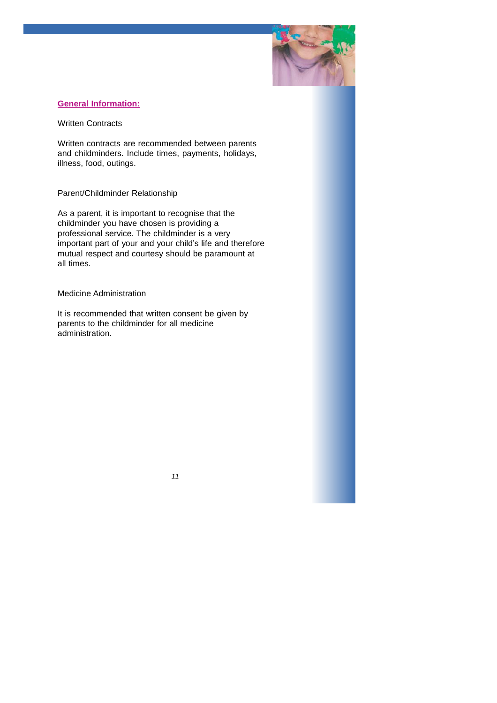

#### **General Information:**

Written Contracts

Written contracts are recommended between parents and childminders. Include times, payments, holidays, illness, food, outings.

#### Parent/Childminder Relationship

As a parent, it is important to recognise that the childminder you have chosen is providing a professional service. The childminder is a very important part of your and your child's life and therefore mutual respect and courtesy should be paramount at all times.

#### Medicine Administration

It is recommended that written consent be given by parents to the childminder for all medicine administration.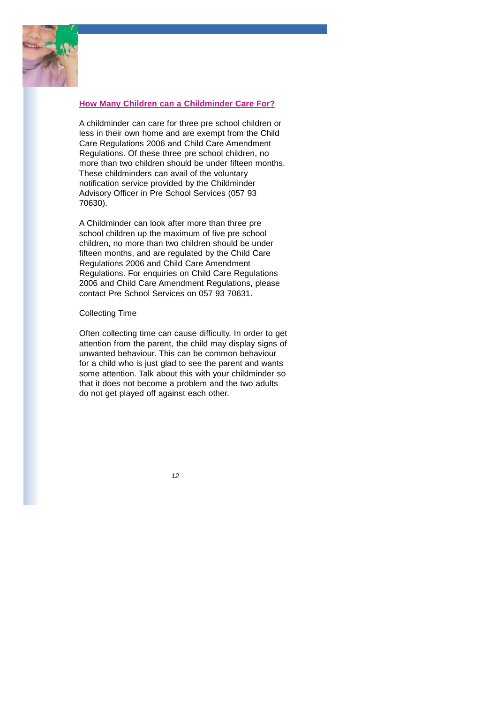

#### **How Many Children can a Childminder Care For?**

A childminder can care for three pre school children or less in their own home and are exempt from the Child Care Regulations 2006 and Child Care Amendment Regulations. Of these three pre school children, no more than two children should be under fifteen months. These childminders can avail of the voluntary notification service provided by the Childminder Advisory Officer in Pre School Services (057 93 70630).

A Childminder can look after more than three pre school children up the maximum of five pre school children, no more than two children should be under fifteen months, and are regulated by the Child Care Regulations 2006 and Child Care Amendment Regulations. For enquiries on Child Care Regulations 2006 and Child Care Amendment Regulations, please contact Pre School Services on 057 93 70631.

#### Collecting Time

Often collecting time can cause difficulty. In order to get attention from the parent, the child may display signs of unwanted behaviour. This can be common behaviour for a child who is just glad to see the parent and wants some attention. Talk about this with your childminder so that it does not become a problem and the two adults do not get played off against each other.

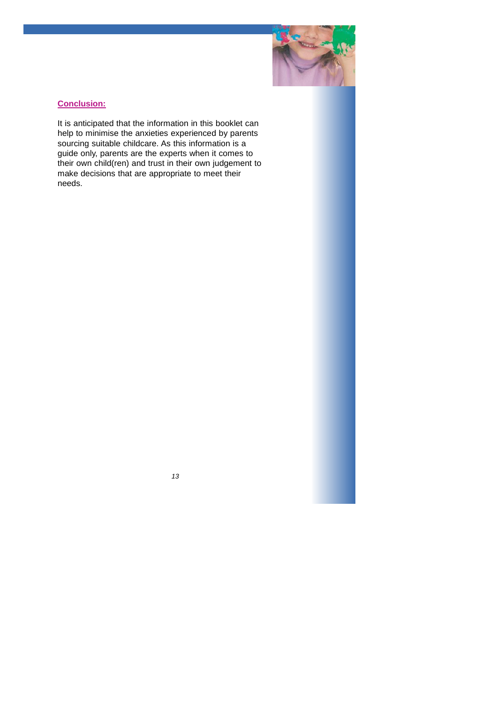

# **Conclusion:**

It is anticipated that the information in this booklet can help to minimise the anxieties experienced by parents sourcing suitable childcare. As this information is a guide only, parents are the experts when it comes to their own child(ren) and trust in their own judgement to make decisions that are appropriate to meet their needs.

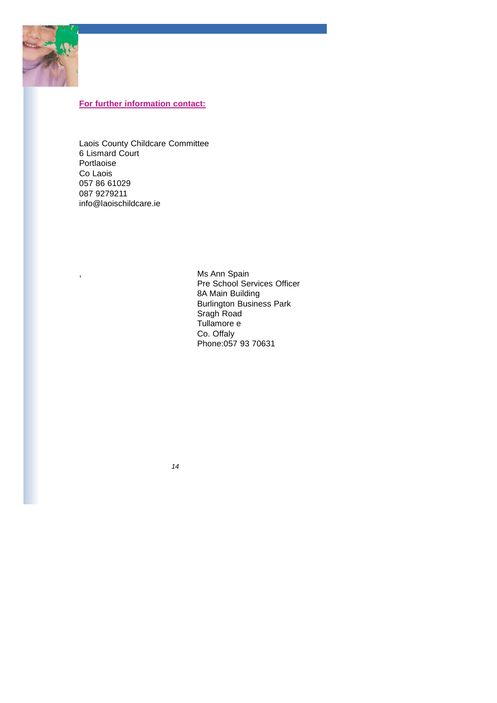

# **For further information contact:**

Laois County Childcare Committee 6 Lismard Court Portlaoise Co Laois 057 86 61029 087 927921[1](mailto:info@laoischildcare.ie) info@laoischildcare.ie

, Ms Ann Spain Pre School Services Officer 8A Main Building Burlington Business Park Sragh Road Tullamore e Co. Offaly Phone:057 93 70631